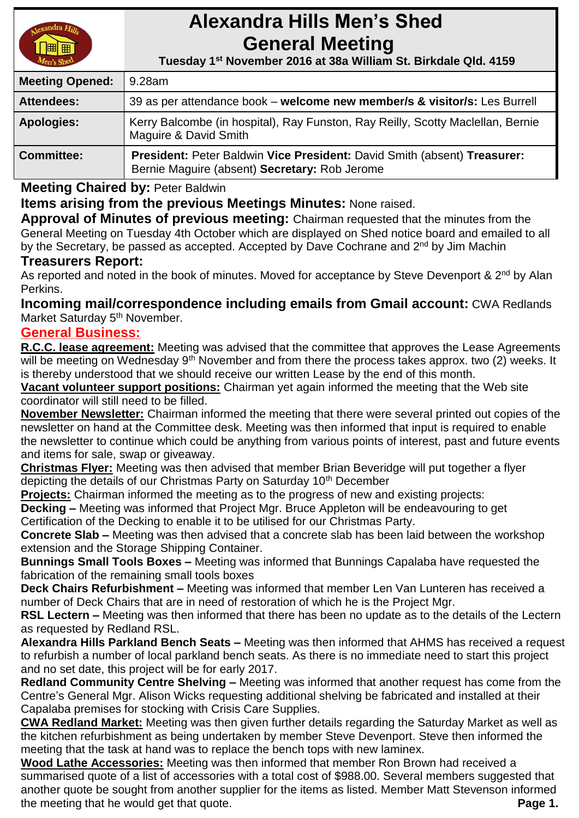

# **Alexandra Hills Men's Shed General Meeting**

 **Tuesday 1 st November 2016 at 38a William St. Birkdale Qld. 4159** 

| <b>Meeting Opened:</b> | 9.28am                                                                                                                    |
|------------------------|---------------------------------------------------------------------------------------------------------------------------|
| <b>Attendees:</b>      | 39 as per attendance book – welcome new member/s & visitor/s: Les Burrell                                                 |
| <b>Apologies:</b>      | Kerry Balcombe (in hospital), Ray Funston, Ray Reilly, Scotty Maclellan, Bernie<br>Maguire & David Smith                  |
| <b>Committee:</b>      | President: Peter Baldwin Vice President: David Smith (absent) Treasurer:<br>Bernie Maguire (absent) Secretary: Rob Jerome |

**Meeting Chaired by:** Peter Baldwin

**Items arising from the previous Meetings Minutes:** None raised.

**Approval of Minutes of previous meeting:** Chairman requested that the minutes from the General Meeting on Tuesday 4th October which are displayed on Shed notice board and emailed to all by the Secretary, be passed as accepted. Accepted by Dave Cochrane and 2<sup>nd</sup> by Jim Machin

# **Treasurers Report:**

As reported and noted in the book of minutes. Moved for acceptance by Steve Devenport & 2<sup>nd</sup> by Alan Perkins.

**Incoming mail/correspondence including emails from Gmail account:** CWA Redlands Market Saturday 5<sup>th</sup> November.

## **General Business:**

**R.C.C. lease agreement:** Meeting was advised that the committee that approves the Lease Agreements will be meeting on Wednesday 9<sup>th</sup> November and from there the process takes approx. two (2) weeks. It is thereby understood that we should receive our written Lease by the end of this month.

**Vacant volunteer support positions:** Chairman yet again informed the meeting that the Web site coordinator will still need to be filled.

**November Newsletter:** Chairman informed the meeting that there were several printed out copies of the newsletter on hand at the Committee desk. Meeting was then informed that input is required to enable the newsletter to continue which could be anything from various points of interest, past and future events and items for sale, swap or giveaway.

**Christmas Flyer:** Meeting was then advised that member Brian Beveridge will put together a flyer depicting the details of our Christmas Party on Saturday 10<sup>th</sup> December

**Projects:** Chairman informed the meeting as to the progress of new and existing projects: **Decking –** Meeting was informed that Project Mgr. Bruce Appleton will be endeavouring to get Certification of the Decking to enable it to be utilised for our Christmas Party.

**Concrete Slab –** Meeting was then advised that a concrete slab has been laid between the workshop extension and the Storage Shipping Container.

**Bunnings Small Tools Boxes –** Meeting was informed that Bunnings Capalaba have requested the fabrication of the remaining small tools boxes

**Deck Chairs Refurbishment –** Meeting was informed that member Len Van Lunteren has received a number of Deck Chairs that are in need of restoration of which he is the Project Mgr.

**RSL Lectern –** Meeting was then informed that there has been no update as to the details of the Lectern as requested by Redland RSL.

**Alexandra Hills Parkland Bench Seats –** Meeting was then informed that AHMS has received a request to refurbish a number of local parkland bench seats. As there is no immediate need to start this project and no set date, this project will be for early 2017.

**Redland Community Centre Shelving –** Meeting was informed that another request has come from the Centre's General Mgr. Alison Wicks requesting additional shelving be fabricated and installed at their Capalaba premises for stocking with Crisis Care Supplies.

**CWA Redland Market:** Meeting was then given further details regarding the Saturday Market as well as the kitchen refurbishment as being undertaken by member Steve Devenport. Steve then informed the meeting that the task at hand was to replace the bench tops with new laminex.

**Wood Lathe Accessories:** Meeting was then informed that member Ron Brown had received a summarised quote of a list of accessories with a total cost of \$988.00. Several members suggested that another quote be sought from another supplier for the items as listed. Member Matt Stevenson informed the meeting that he would get that quote. **Page 1.**